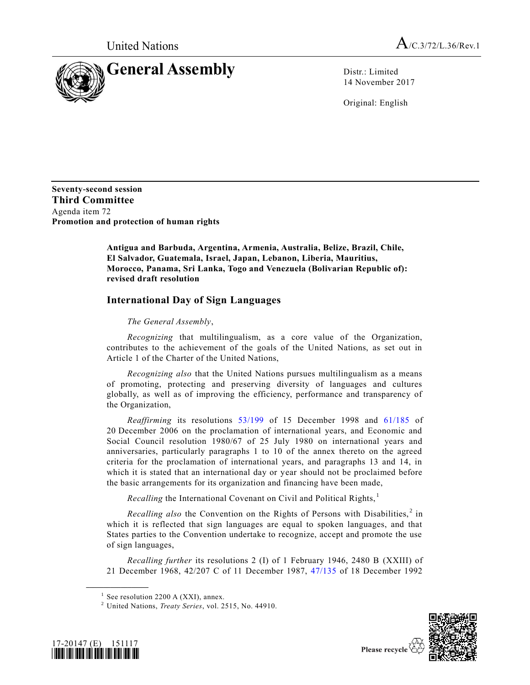

14 November 2017

Original: English

**Seventy-second session Third Committee** Agenda item 72 **Promotion and protection of human rights**

> **Antigua and Barbuda, Argentina, Armenia, Australia, Belize, Brazil, Chile, El Salvador, Guatemala, Israel, Japan, Lebanon, Liberia, Mauritius, Morocco, Panama, Sri Lanka, Togo and Venezuela (Bolivarian Republic of): revised draft resolution**

## **International Day of Sign Languages**

## *The General Assembly*,

*Recognizing* that multilingualism, as a core value of the Organization, contributes to the achievement of the goals of the United Nations, as set out in Article 1 of the Charter of the United Nations,

*Recognizing also* that the United Nations pursues multilingualism as a means of promoting, protecting and preserving diversity of languages and cultures globally, as well as of improving the efficiency, performance and transparency of the Organization,

*Reaffirming* its resolutions [53/199](https://undocs.org/A/RES/53/199) of 15 December 1998 and [61/185](https://undocs.org/A/RES/61/185) of 20 December 2006 on the proclamation of international years, and Economic and Social Council resolution 1980/67 of 25 July 1980 on international years and anniversaries, particularly paragraphs 1 to 10 of the annex thereto on the agreed criteria for the proclamation of international years, and paragraphs 13 and 14, in which it is stated that an international day or year should not be proclaimed before the basic arrangements for its organization and financing have been made,

*Recalling* the International Covenant on Civil and Political Rights,<sup>1</sup>

Recalling also the Convention on the Rights of Persons with Disabilities,<sup>2</sup> in which it is reflected that sign languages are equal to spoken languages, and that States parties to the Convention undertake to recognize, accept and promote the use of sign languages,

*Recalling further* its resolutions 2 (I) of 1 February 1946, 2480 B (XXIII) of 21 December 1968, 42/207 C of 11 December 1987, [47/135](https://undocs.org/A/RES/47/135) of 18 December 1992

<sup>2</sup> United Nations, *Treaty Series*, vol. 2515, No. 44910.



**\_\_\_\_\_\_\_\_\_\_\_\_\_\_\_\_\_\_**



 $<sup>1</sup>$  See resolution 2200 A (XXI), annex.</sup>